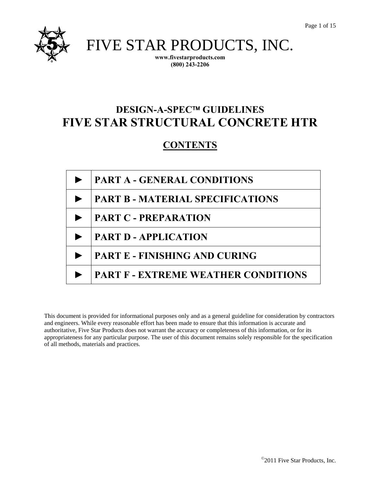

FIVE STAR PRODUCTS, INC.

**www.fivestarproducts.com (800) 243-2206** 

# **DESIGN-A-SPEC<sup>™</sup> GUIDELINES FIVE STAR STRUCTURAL CONCRETE HTR**

## **CONTENTS**

| <b>PART A - GENERAL CONDITIONS</b>         |  |
|--------------------------------------------|--|
| <b>PART B - MATERIAL SPECIFICATIONS</b>    |  |
| <b>PART C - PREPARATION</b>                |  |
| <b>PART D - APPLICATION</b>                |  |
| <b>PART E - FINISHING AND CURING</b>       |  |
| <b>PART F - EXTREME WEATHER CONDITIONS</b> |  |

This document is provided for informational purposes only and as a general guideline for consideration by contractors and engineers. While every reasonable effort has been made to ensure that this information is accurate and authoritative, Five Star Products does not warrant the accuracy or completeness of this information, or for its appropriateness for any particular purpose. The user of this document remains solely responsible for the specification of all methods, materials and practices.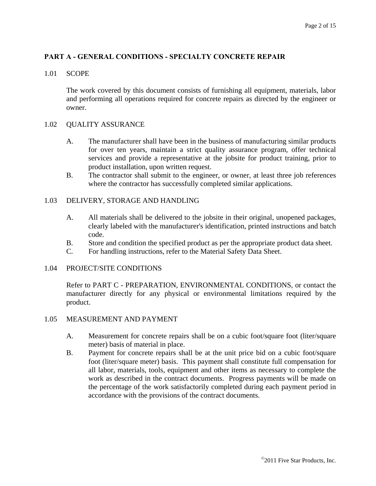## **PART A - GENERAL CONDITIONS - SPECIALTY CONCRETE REPAIR**

#### 1.01 SCOPE

The work covered by this document consists of furnishing all equipment, materials, labor and performing all operations required for concrete repairs as directed by the engineer or owner.

#### 1.02 QUALITY ASSURANCE

- A. The manufacturer shall have been in the business of manufacturing similar products for over ten years, maintain a strict quality assurance program, offer technical services and provide a representative at the jobsite for product training, prior to product installation, upon written request.
- B. The contractor shall submit to the engineer, or owner, at least three job references where the contractor has successfully completed similar applications.

## 1.03 DELIVERY, STORAGE AND HANDLING

- A. All materials shall be delivered to the jobsite in their original, unopened packages, clearly labeled with the manufacturer's identification, printed instructions and batch code.
- B. Store and condition the specified product as per the appropriate product data sheet.
- C. For handling instructions, refer to the Material Safety Data Sheet.

#### 1.04 PROJECT/SITE CONDITIONS

Refer to PART C - PREPARATION, ENVIRONMENTAL CONDITIONS, or contact the manufacturer directly for any physical or environmental limitations required by the product.

#### 1.05 MEASUREMENT AND PAYMENT

- A. Measurement for concrete repairs shall be on a cubic foot/square foot (liter/square meter) basis of material in place.
- B. Payment for concrete repairs shall be at the unit price bid on a cubic foot/square foot (liter/square meter) basis. This payment shall constitute full compensation for all labor, materials, tools, equipment and other items as necessary to complete the work as described in the contract documents. Progress payments will be made on the percentage of the work satisfactorily completed during each payment period in accordance with the provisions of the contract documents.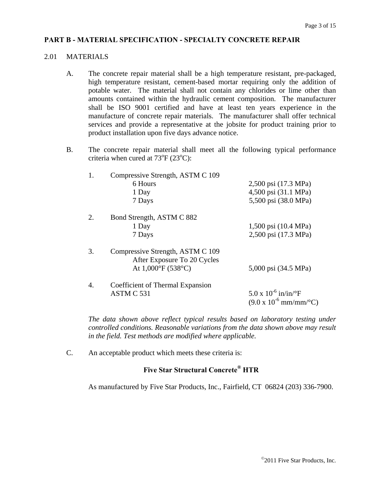## **PART B - MATERIAL SPECIFICATION - SPECIALTY CONCRETE REPAIR**

#### 2.01 MATERIALS

- A. The concrete repair material shall be a high temperature resistant, pre-packaged, high temperature resistant, cement-based mortar requiring only the addition of potable water. The material shall not contain any chlorides or lime other than amounts contained within the hydraulic cement composition. The manufacturer shall be ISO 9001 certified and have at least ten years experience in the manufacture of concrete repair materials. The manufacturer shall offer technical services and provide a representative at the jobsite for product training prior to product installation upon five days advance notice.
- B. The concrete repair material shall meet all the following typical performance criteria when cured at  $73^{\circ}F(23^{\circ}C)$ :

| 1. | Compressive Strength, ASTM C 109                                |                                                                                     |
|----|-----------------------------------------------------------------|-------------------------------------------------------------------------------------|
|    | 6 Hours                                                         | 2,500 psi (17.3 MPa)                                                                |
|    | 1 Day                                                           | 4,500 psi (31.1 MPa)                                                                |
|    | 7 Days                                                          | 5,500 psi (38.0 MPa)                                                                |
| 2. | Bond Strength, ASTM C 882                                       |                                                                                     |
|    | 1 Day                                                           | 1,500 psi (10.4 MPa)                                                                |
|    | 7 Days                                                          | 2,500 psi (17.3 MPa)                                                                |
| 3. | Compressive Strength, ASTM C 109<br>After Exposure To 20 Cycles |                                                                                     |
|    | At $1,000^{\circ}F(538^{\circ}C)$                               | 5,000 psi (34.5 MPa)                                                                |
| 4. | Coefficient of Thermal Expansion                                |                                                                                     |
|    | ASTM C 531                                                      | 5.0 x $10^{-6}$ in/in/°F<br>$(9.0 \times 10^{-6} \text{ mm/mm} / ^{\circ}\text{C})$ |

*The data shown above reflect typical results based on laboratory testing under controlled conditions. Reasonable variations from the data shown above may result in the field. Test methods are modified where applicable.* 

C. An acceptable product which meets these criteria is:

## **Five Star Structural Concrete® HTR**

As manufactured by Five Star Products, Inc., Fairfield, CT 06824 (203) 336-7900.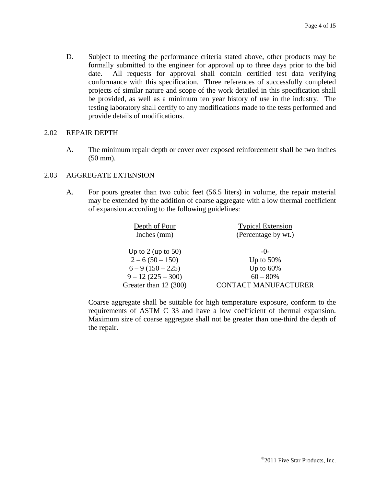D. Subject to meeting the performance criteria stated above, other products may be formally submitted to the engineer for approval up to three days prior to the bid date. All requests for approval shall contain certified test data verifying conformance with this specification. Three references of successfully completed projects of similar nature and scope of the work detailed in this specification shall be provided, as well as a minimum ten year history of use in the industry. The testing laboratory shall certify to any modifications made to the tests performed and provide details of modifications.

#### 2.02 REPAIR DEPTH

A. The minimum repair depth or cover over exposed reinforcement shall be two inches (50 mm).

## 2.03 AGGREGATE EXTENSION

A. For pours greater than two cubic feet (56.5 liters) in volume, the repair material may be extended by the addition of coarse aggregate with a low thermal coefficient of expansion according to the following guidelines:

| Depth of Pour<br>Inches (mm) | <b>Typical Extension</b><br>(Percentage by wt.) |
|------------------------------|-------------------------------------------------|
| Up to 2 (up to 50)           | $-()$                                           |
| $2 - 6(50 - 150)$            | Up to $50\%$                                    |
| $6 - 9(150 - 225)$           | Up to $60\%$                                    |
| $9 - 12(225 - 300)$          | $60 - 80\%$                                     |
| Greater than 12 (300)        | CONTACT MANUFACTURER                            |

 Coarse aggregate shall be suitable for high temperature exposure, conform to the requirements of ASTM C 33 and have a low coefficient of thermal expansion. Maximum size of coarse aggregate shall not be greater than one-third the depth of the repair.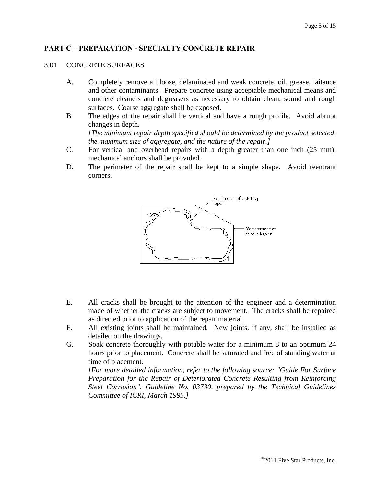## **PART C – PREPARATION - SPECIALTY CONCRETE REPAIR**

#### 3.01 CONCRETE SURFACES

- A. Completely remove all loose, delaminated and weak concrete, oil, grease, laitance and other contaminants. Prepare concrete using acceptable mechanical means and concrete cleaners and degreasers as necessary to obtain clean, sound and rough surfaces. Coarse aggregate shall be exposed.
- B. The edges of the repair shall be vertical and have a rough profile. Avoid abrupt changes in depth.

*[The minimum repair depth specified should be determined by the product selected, the maximum size of aggregate, and the nature of the repair.]*

- C. For vertical and overhead repairs with a depth greater than one inch (25 mm), mechanical anchors shall be provided.
- D. The perimeter of the repair shall be kept to a simple shape. Avoid reentrant corners.



- E. All cracks shall be brought to the attention of the engineer and a determination made of whether the cracks are subject to movement. The cracks shall be repaired as directed prior to application of the repair material.
- F. All existing joints shall be maintained. New joints, if any, shall be installed as detailed on the drawings.
- G. Soak concrete thoroughly with potable water for a minimum 8 to an optimum 24 hours prior to placement. Concrete shall be saturated and free of standing water at time of placement.

 *[For more detailed information, refer to the following source: "Guide For Surface Preparation for the Repair of Deteriorated Concrete Resulting from Reinforcing Steel Corrosion", Guideline No. 03730, prepared by the Technical Guidelines Committee of ICRI, March 1995.]*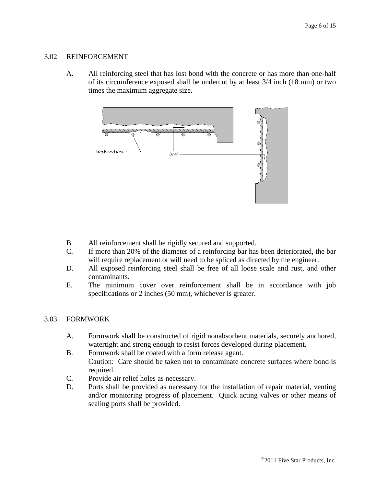#### 3.02 REINFORCEMENT

A. All reinforcing steel that has lost bond with the concrete or has more than one-half of its circumference exposed shall be undercut by at least 3/4 inch (18 mm) or two times the maximum aggregate size.



- B. All reinforcement shall be rigidly secured and supported.
- C. If more than 20% of the diameter of a reinforcing bar has been deteriorated, the bar will require replacement or will need to be spliced as directed by the engineer.
- D. All exposed reinforcing steel shall be free of all loose scale and rust, and other contaminants.
- E. The minimum cover over reinforcement shall be in accordance with job specifications or 2 inches (50 mm), whichever is greater.

#### 3.03 FORMWORK

- A. Formwork shall be constructed of rigid nonabsorbent materials, securely anchored, watertight and strong enough to resist forces developed during placement.
- B. Formwork shall be coated with a form release agent. Caution: Care should be taken not to contaminate concrete surfaces where bond is required.
- C. Provide air relief holes as necessary.
- D. Ports shall be provided as necessary for the installation of repair material, venting and/or monitoring progress of placement. Quick acting valves or other means of sealing ports shall be provided.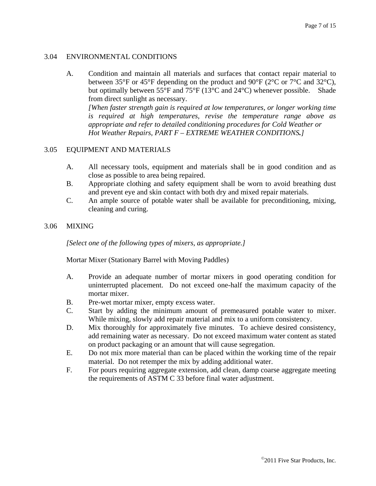## 3.04 ENVIRONMENTAL CONDITIONS

A. Condition and maintain all materials and surfaces that contact repair material to between 35°F or 45°F depending on the product and 90°F (2°C or 7°C and 32°C), but optimally between 55°F and 75°F (13°C and 24°C) whenever possible. Shade from direct sunlight as necessary.

 *[When faster strength gain is required at low temperatures, or longer working time is required at high temperatures, revise the temperature range above as appropriate and refer to detailed conditioning procedures for Cold Weather or Hot Weather Repairs, PART F – EXTREME WEATHER CONDITIONS.]*

## 3.05 EQUIPMENT AND MATERIALS

- A. All necessary tools, equipment and materials shall be in good condition and as close as possible to area being repaired.
- B. Appropriate clothing and safety equipment shall be worn to avoid breathing dust and prevent eye and skin contact with both dry and mixed repair materials.
- C. An ample source of potable water shall be available for preconditioning, mixing, cleaning and curing.

#### 3.06 MIXING

 *[Select one of the following types of mixers, as appropriate.]*

#### Mortar Mixer (Stationary Barrel with Moving Paddles)

- A. Provide an adequate number of mortar mixers in good operating condition for uninterrupted placement. Do not exceed one-half the maximum capacity of the mortar mixer.
- B. Pre-wet mortar mixer, empty excess water.
- C. Start by adding the minimum amount of premeasured potable water to mixer. While mixing, slowly add repair material and mix to a uniform consistency.
- D. Mix thoroughly for approximately five minutes. To achieve desired consistency, add remaining water as necessary. Do not exceed maximum water content as stated on product packaging or an amount that will cause segregation.
- E. Do not mix more material than can be placed within the working time of the repair material. Do not retemper the mix by adding additional water.
- F. For pours requiring aggregate extension, add clean, damp coarse aggregate meeting the requirements of ASTM C 33 before final water adjustment.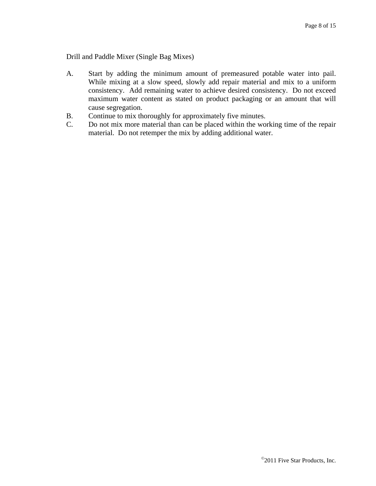Drill and Paddle Mixer (Single Bag Mixes)

- A. Start by adding the minimum amount of premeasured potable water into pail. While mixing at a slow speed, slowly add repair material and mix to a uniform consistency. Add remaining water to achieve desired consistency. Do not exceed maximum water content as stated on product packaging or an amount that will cause segregation.
- B. Continue to mix thoroughly for approximately five minutes.
- C. Do not mix more material than can be placed within the working time of the repair material. Do not retemper the mix by adding additional water.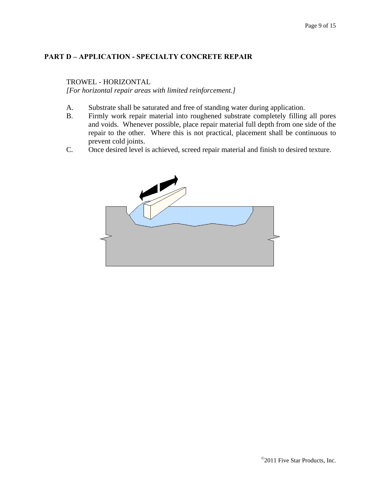## **PART D – APPLICATION - SPECIALTY CONCRETE REPAIR**

#### TROWEL - HORIZONTAL

*[For horizontal repair areas with limited reinforcement.]*

- A. Substrate shall be saturated and free of standing water during application.
- B. Firmly work repair material into roughened substrate completely filling all pores and voids. Whenever possible, place repair material full depth from one side of the repair to the other. Where this is not practical, placement shall be continuous to prevent cold joints.
- C. Once desired level is achieved, screed repair material and finish to desired texture.

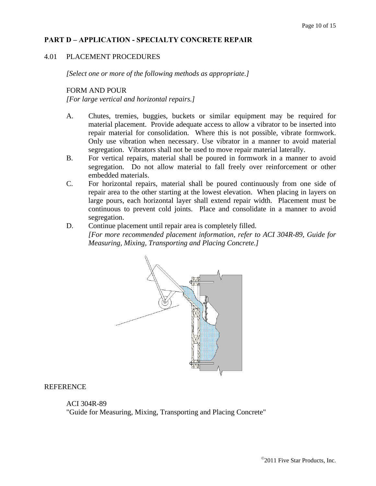## **PART D – APPLICATION - SPECIALTY CONCRETE REPAIR**

#### 4.01 PLACEMENT PROCEDURES

*[Select one or more of the following methods as appropriate.]*

#### FORM AND POUR

*[For large vertical and horizontal repairs.]*

- A. Chutes, tremies, buggies, buckets or similar equipment may be required for material placement. Provide adequate access to allow a vibrator to be inserted into repair material for consolidation. Where this is not possible, vibrate formwork. Only use vibration when necessary. Use vibrator in a manner to avoid material segregation. Vibrators shall not be used to move repair material laterally.
- B. For vertical repairs, material shall be poured in formwork in a manner to avoid segregation. Do not allow material to fall freely over reinforcement or other embedded materials.
- C. For horizontal repairs, material shall be poured continuously from one side of repair area to the other starting at the lowest elevation. When placing in layers on large pours, each horizontal layer shall extend repair width. Placement must be continuous to prevent cold joints. Place and consolidate in a manner to avoid segregation.
- D. Continue placement until repair area is completely filled. *[For more recommended placement information, refer to ACI 304R-89, Guide for Measuring, Mixing, Transporting and Placing Concrete.]*



#### REFERENCE

#### ACI 304R-89

"Guide for Measuring, Mixing, Transporting and Placing Concrete"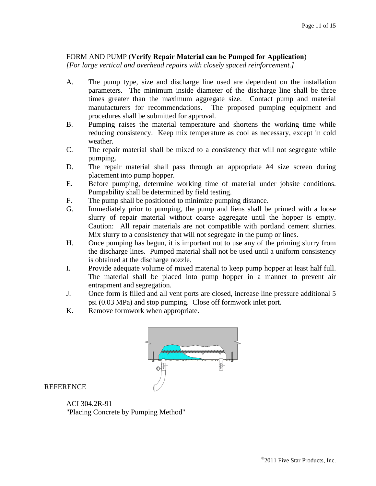## FORM AND PUMP (**Verify Repair Material can be Pumped for Application**)

*[For large vertical and overhead repairs with closely spaced reinforcement.]*

- A. The pump type, size and discharge line used are dependent on the installation parameters. The minimum inside diameter of the discharge line shall be three times greater than the maximum aggregate size. Contact pump and material manufacturers for recommendations. The proposed pumping equipment and procedures shall be submitted for approval.
- B. Pumping raises the material temperature and shortens the working time while reducing consistency. Keep mix temperature as cool as necessary, except in cold weather.
- C. The repair material shall be mixed to a consistency that will not segregate while pumping.
- D. The repair material shall pass through an appropriate #4 size screen during placement into pump hopper.
- E. Before pumping, determine working time of material under jobsite conditions. Pumpability shall be determined by field testing.
- F. The pump shall be positioned to minimize pumping distance.
- G. Immediately prior to pumping, the pump and liens shall be primed with a loose slurry of repair material without coarse aggregate until the hopper is empty. Caution: All repair materials are not compatible with portland cement slurries. Mix slurry to a consistency that will not segregate in the pump or lines.
- H. Once pumping has begun, it is important not to use any of the priming slurry from the discharge lines. Pumped material shall not be used until a uniform consistency is obtained at the discharge nozzle.
- I. Provide adequate volume of mixed material to keep pump hopper at least half full. The material shall be placed into pump hopper in a manner to prevent air entrapment and segregation.
- J. Once form is filled and all vent ports are closed, increase line pressure additional 5 psi (0.03 MPa) and stop pumping. Close off formwork inlet port.
- K. Remove formwork when appropriate.



## **REFERENCE**

 ACI 304.2R-91 "Placing Concrete by Pumping Method"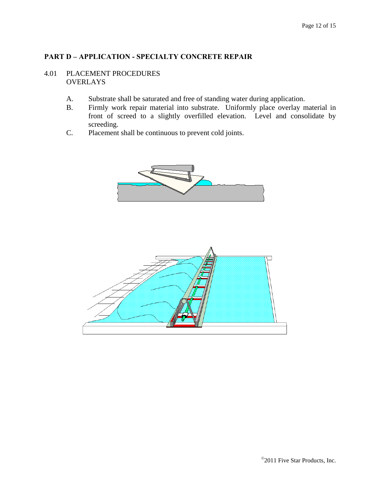## **PART D – APPLICATION - SPECIALTY CONCRETE REPAIR**

## 4.01 PLACEMENT PROCEDURES **OVERLAYS**

- A. Substrate shall be saturated and free of standing water during application.
- B. Firmly work repair material into substrate. Uniformly place overlay material in front of screed to a slightly overfilled elevation. Level and consolidate by screeding.
- C. Placement shall be continuous to prevent cold joints.



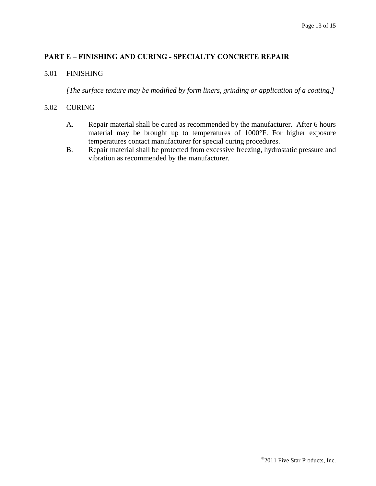## **PART E – FINISHING AND CURING - SPECIALTY CONCRETE REPAIR**

#### 5.01 FINISHING

*[The surface texture may be modified by form liners, grinding or application of a coating.]*

#### 5.02 CURING

- A. Repair material shall be cured as recommended by the manufacturer. After 6 hours material may be brought up to temperatures of 1000°F. For higher exposure temperatures contact manufacturer for special curing procedures.
- B. Repair material shall be protected from excessive freezing, hydrostatic pressure and vibration as recommended by the manufacturer.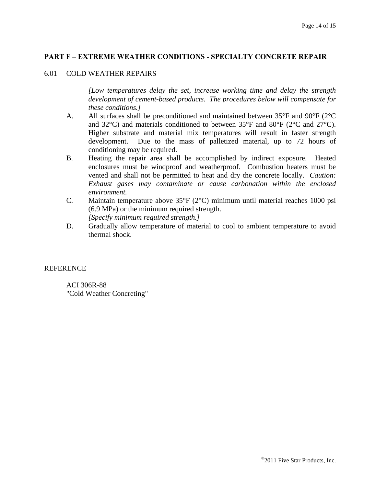## **PART F – EXTREME WEATHER CONDITIONS - SPECIALTY CONCRETE REPAIR**

#### 6.01 COLD WEATHER REPAIRS

 *[Low temperatures delay the set, increase working time and delay the strength development of cement-based products. The procedures below will compensate for these conditions.]* 

- A. All surfaces shall be preconditioned and maintained between  $35^{\circ}$ F and  $90^{\circ}$ F ( $2^{\circ}$ C) and 32°C) and materials conditioned to between 35°F and 80°F (2°C and 27°C). Higher substrate and material mix temperatures will result in faster strength development. Due to the mass of palletized material, up to 72 hours of conditioning may be required.
- B. Heating the repair area shall be accomplished by indirect exposure. Heated enclosures must be windproof and weatherproof. Combustion heaters must be vented and shall not be permitted to heat and dry the concrete locally. *Caution: Exhaust gases may contaminate or cause carbonation within the enclosed environment.*
- C. Maintain temperature above 35°F (2°C) minimum until material reaches 1000 psi (6.9 MPa) or the minimum required strength. *[Specify minimum required strength.]*
- D. Gradually allow temperature of material to cool to ambient temperature to avoid thermal shock.

## REFERENCE

 ACI 306R-88 "Cold Weather Concreting"